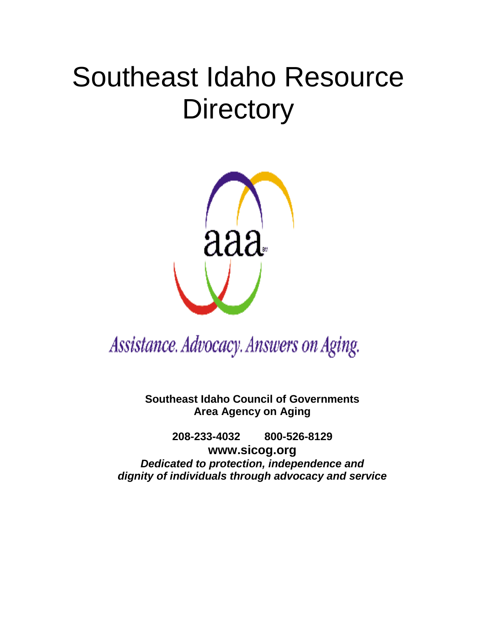# Southeast Idaho Resource **Directory**



Assistance. Advocacy. Answers on Aging.

**Southeast Idaho Council of Governments Area Agency on Aging** 

**208-233-4032 800-526-8129 www.sicog.org** *Dedicated to protection, independence and dignity of individuals through advocacy and service*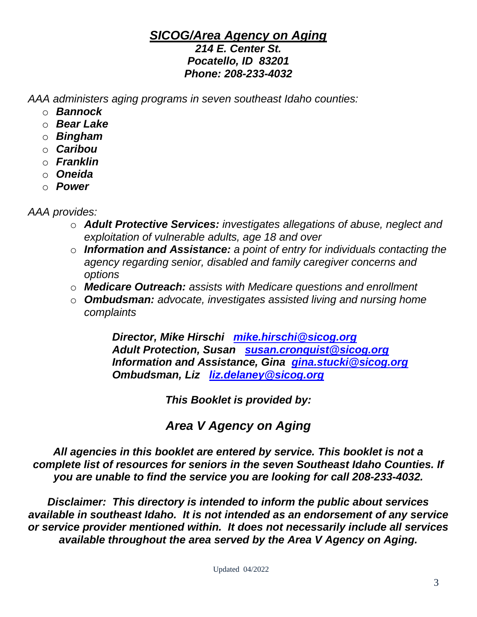# *SICOG/Area Agency on Aging*

#### *214 E. Center St. Pocatello, ID 83201 Phone: 208-233-4032*

*AAA administers aging programs in seven southeast Idaho counties:*

- o *Bannock*
- o *Bear Lake*
- o *Bingham*
- o *Caribou*
- o *Franklin*
- o *Oneida*
- o *Power*

*AAA provides:* 

- o *Adult Protective Services: investigates allegations of abuse, neglect and exploitation of vulnerable adults, age 18 and over*
- o *Information and Assistance: a point of entry for individuals contacting the agency regarding senior, disabled and family caregiver concerns and options*
- o *Medicare Outreach: assists with Medicare questions and enrollment*
- o *Ombudsman: advocate, investigates assisted living and nursing home complaints*

*Director, Mike Hirschi [mike.hirschi@sicog.org](mailto:mike.hirschi@sicog.org) Adult Protection, Susan [susan.cronquist@sicog.org](mailto:susan.cronquist@sicog.org) Information and Assistance, Gina [gina.stucki@sicog.org](mailto:gina.stucki@sicog.org) Ombudsman, Liz [liz.delaney@sicog.org](mailto:liz.delaney@sicog.org)*

*This Booklet is provided by:*

*Area V Agency on Aging*

*All agencies in this booklet are entered by service. This booklet is not a complete list of resources for seniors in the seven Southeast Idaho Counties. If you are unable to find the service you are looking for call 208-233-4032.*

*Disclaimer: This directory is intended to inform the public about services available in southeast Idaho. It is not intended as an endorsement of any service or service provider mentioned within. It does not necessarily include all services available throughout the area served by the Area V Agency on Aging.*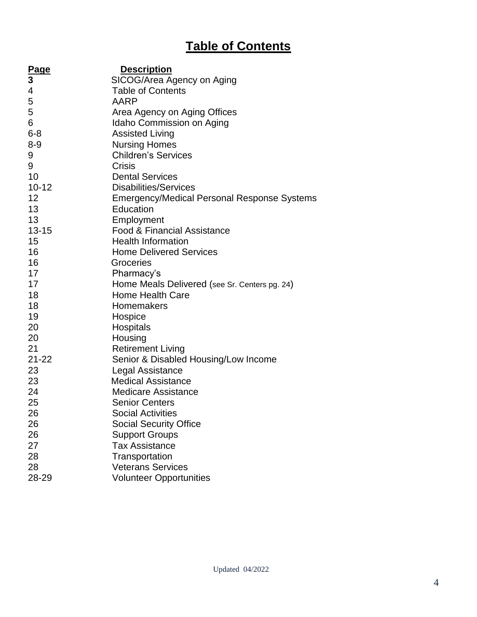# **Table of Contents**

| <b>Page</b> | <b>Description</b>                            |
|-------------|-----------------------------------------------|
| 3           | SICOG/Area Agency on Aging                    |
| 4           | <b>Table of Contents</b>                      |
| 5           | AARP                                          |
| 5           | Area Agency on Aging Offices                  |
| 6           | Idaho Commission on Aging                     |
| $6 - 8$     | <b>Assisted Living</b>                        |
| $8 - 9$     | <b>Nursing Homes</b>                          |
| 9           | <b>Children's Services</b>                    |
| 9           | Crisis                                        |
| 10          | <b>Dental Services</b>                        |
| $10 - 12$   | <b>Disabilities/Services</b>                  |
| 12          | Emergency/Medical Personal Response Systems   |
| 13          | Education                                     |
| 13          | Employment                                    |
| $13 - 15$   | <b>Food &amp; Financial Assistance</b>        |
| 15          | <b>Health Information</b>                     |
| 16          | <b>Home Delivered Services</b>                |
| 16          | Groceries                                     |
| 17          | Pharmacy's                                    |
| 17          | Home Meals Delivered (see Sr. Centers pg. 24) |
| 18          | <b>Home Health Care</b>                       |
| 18          | Homemakers                                    |
| 19          | Hospice                                       |
| 20          | Hospitals                                     |
| 20          | Housing                                       |
| 21          | <b>Retirement Living</b>                      |
| $21 - 22$   | Senior & Disabled Housing/Low Income          |
| 23          | Legal Assistance                              |
| 23          | <b>Medical Assistance</b>                     |
| 24          | <b>Medicare Assistance</b>                    |
| 25          | <b>Senior Centers</b>                         |
| 26          | <b>Social Activities</b>                      |
| 26          | <b>Social Security Office</b>                 |
| 26          | <b>Support Groups</b>                         |
| 27          | <b>Tax Assistance</b>                         |
| 28          | Transportation                                |
| 28          | <b>Veterans Services</b>                      |
| 28-29       | <b>Volunteer Opportunities</b>                |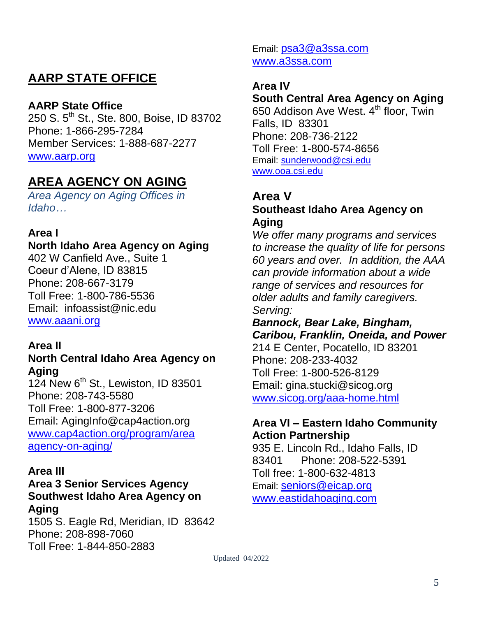# **AARP STATE OFFICE**

#### **AARP State Office**

250 S. 5<sup>th</sup> St., Ste. 800, Boise, ID 83702 Phone: 1-866-295-7284 Member Services: 1-888-687-2277 [www.aarp.org](http://www.aarp.org/)

# **AREA AGENCY ON AGING**

*Area Agency on Aging Offices in Idaho…*

#### **Area I**

**North Idaho Area Agency on Aging** 402 W Canfield Ave., Suite 1 Coeur d'Alene, ID 83815 Phone: 208-667-3179 Toll Free: 1-800-786-5536 Email: infoassist@nic.edu [www.aaani.org](http://www.aaani.org/)

#### **Area II**

#### **North Central Idaho Area Agency on Aging**

124 New  $6<sup>th</sup>$  St., Lewiston, ID 83501 Phone: 208-743-5580 Toll Free: 1-800-877-3206 Email: AgingInfo@cap4action.org [www.cap4action.org/program/area](http://www.cap4action.org/program/area) agency-on-aging/

#### **Area III**

#### **Area 3 Senior Services Agency Southwest Idaho Area Agency on Aging**

1505 S. Eagle Rd, Meridian, ID 83642 Phone: 208-898-7060 Toll Free: 1-844-850-2883

Email: [psa3@a3ssa.com](mailto:psa3@a3ssa.com) www.a3ssa.com

#### **Area IV**

### **South Central Area Agency on Aging**

650 Addison Ave West. 4th floor, Twin Falls, ID 83301 Phone: 208-736-2122 Toll Free: 1-800-574-8656 Email: [sunderwood@csi.edu](mailto:sunderwood@csi.edu) [www.ooa.csi.edu](http://www.ooa.csi.edu/)

# **Area V**

#### **Southeast Idaho Area Agency on Aging**

*We offer many programs and services to increase the quality of life for persons 60 years and over. In addition, the AAA can provide information about a wide range of services and resources for older adults and family caregivers. Serving:* 

### *Bannock, Bear Lake, Bingham, Caribou, Franklin, Oneida, and Power*

214 E Center, Pocatello, ID 83201 Phone: 208-233-4032 Toll Free: 1-800-526-8129 Email: gina.stucki@sicog.org [www.sicog.org/aaa-home.html](http://www.sicog.org/aaa-home.html)

#### **Area VI – Eastern Idaho Community Action Partnership**

935 E. Lincoln Rd., Idaho Falls, ID 83401 Phone: 208-522-5391 Toll free: 1-800-632-4813 Email: [seniors@eicap.org](mailto:seniors@eicap.org) [www.eastidahoaging.com](http://www.eastidahoaging.com/)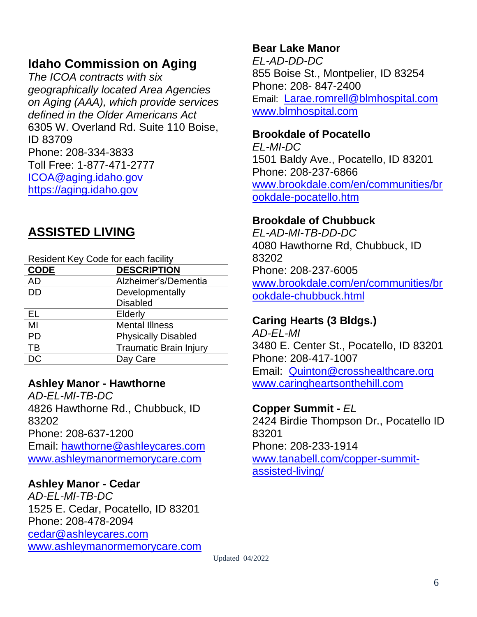# **Idaho Commission on Aging**

*The ICOA contracts with six geographically located Area Agencies on Aging (AAA), which provide services defined in the Older Americans Act* 6305 W. Overland Rd. Suite 110 Boise, ID 83709 Phone: 208-334-3833 Toll Free: 1-877-471-2777 [ICOA@aging.idaho.gov](mailto:ICOA@aging.idaho.gov) [https://aging.idaho.gov](https://aging.idaho.gov/)

# **ASSISTED LIVING**

| Resident Key Code for each facility |                               |  |
|-------------------------------------|-------------------------------|--|
| <b>CODE</b>                         | <b>DESCRIPTION</b>            |  |
| <b>AD</b>                           | Alzheimer's/Dementia          |  |
| DD                                  | Developmentally               |  |
|                                     | <b>Disabled</b>               |  |
| EL                                  | Elderly                       |  |
| MI                                  | <b>Mental Illness</b>         |  |
| <b>PD</b>                           | <b>Physically Disabled</b>    |  |
| TB                                  | <b>Traumatic Brain Injury</b> |  |
| DC                                  | Day Care                      |  |

#### **Ashley Manor - Hawthorne**

*AD-EL-MI-TB-DC* 4826 Hawthorne Rd., Chubbuck, ID 83202 Phone: 208-637-1200 Email: [hawthorne@ashleycares.com](mailto:hawthorne@ashleycares.com) www.ashleymanormemorycare.com

#### **Ashley Manor - Cedar**

*AD-EL-MI-TB-DC* 1525 E. Cedar, Pocatello, ID 83201 Phone: 208-478-2094 [cedar@ashleycares.com](file:///C:/Users/sandy.SICOG/AppData/Roaming/Microsoft/Word/cedar@ashleycares.com) [www.ashleymanormemorycare.com](http://www.ashleymanormemorycare.com/)

#### **Bear Lake Manor**

*EL-AD-DD-DC* 855 Boise St., Montpelier, ID 83254 Phone: 208- 847-2400 Email: [Larae.romrell@blmhospital.com](mailto:Larae.romrell@blmhospital.com) [www.blmhospital.com](http://www.blmhospital.com/)

#### **Brookdale of Pocatello**

*EL-MI-DC* 1501 Baldy Ave., Pocatello, ID 83201 Phone: 208-237-6866 [www.brookdale.com/en/communities/br](http://www.brookdale.com/en/communities/brookdale-pocatello.htm) [ookdale-pocatello.htm](http://www.brookdale.com/en/communities/brookdale-pocatello.htm)

#### **Brookdale of Chubbuck**

*EL-AD-MI-TB-DD-DC* 4080 Hawthorne Rd, Chubbuck, ID 83202 Phone: 208-237-6005 [www.brookdale.com/en/communities/br](http://www.brookdale.com/en/communities/brookdale-chubbuck.html) [ookdale-chubbuck.html](http://www.brookdale.com/en/communities/brookdale-chubbuck.html)

# **Caring Hearts (3 Bldgs.)**

*AD-EL-MI* 3480 E. Center St., Pocatello, ID 83201 Phone: 208-417-1007 Email: [Quinton@crosshealthcare.org](mailto:Quinton@crosshealthcare.org) www.caringheartsonthehill.com

#### **Copper Summit -** *EL*

2424 Birdie Thompson Dr., Pocatello ID 83201 Phone: 208-233-1914 [www.tanabell.com/](http://www.tanabell.com/)copper-summitassisted-living/

Updated 04/2022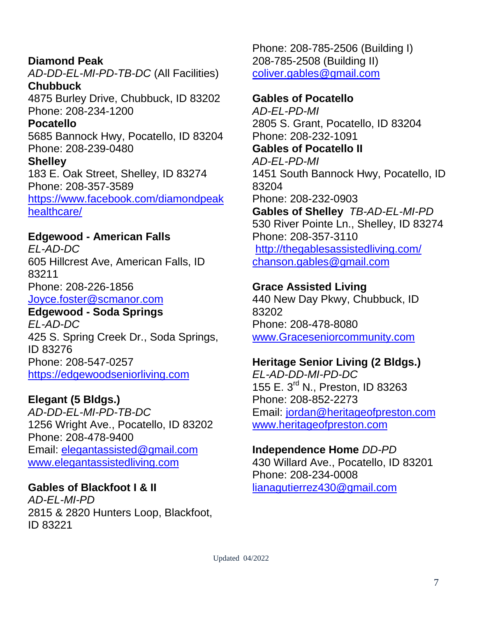**Diamond Peak** *AD-DD-EL-MI-PD-TB-DC* (All Facilities) **Chubbuck** 4875 Burley Drive, Chubbuck, ID 83202 Phone: 208-234-1200 **Pocatello** 5685 Bannock Hwy, Pocatello, ID 83204 Phone: 208-239-0480 **Shelley** 183 E. Oak Street, Shelley, ID 83274 Phone: 208-357-3589 [https://www.facebook.com/diamondpeak](https://www.facebook.com/diamondpeakhealthcare/) [healthcare/](https://www.facebook.com/diamondpeakhealthcare/)

#### **Edgewood - American Falls**

*EL-AD-DC* 605 Hillcrest Ave, American Falls, ID 83211 Phone: 208-226-1856 [Joyce.foster@scmanor.com](mailto:Joyce.foster@scmanor.com)

**Edgewood - Soda Springs** *EL-AD-DC*

425 S. Spring Creek Dr., Soda Springs, ID 83276 Phone: 208-547-0257 [https://edgewoodseniorliving.com](https://edgewoodseniorliving.com/)

#### **Elegant (5 Bldgs.)**

*AD-DD-EL-MI-PD-TB-DC* 1256 Wright Ave., Pocatello, ID 83202 Phone: 208-478-9400 Email: [elegantassisted@gmail.com](mailto:elegantassisted@gmail.com) [www.elegantassistedliving.com](http://www.elegantassistedliving.com/)

#### **Gables of Blackfoot I & II**

*AD-EL-MI-PD* 2815 & 2820 Hunters Loop, Blackfoot, ID 83221

Phone: 208-785-2506 (Building I) 208-785-2508 (Building II) [coliver.gables@gmail.com](mailto:coliver.gables@gmail.com)

#### **Gables of Pocatello**

*AD-EL-PD-MI* 2805 S. Grant, Pocatello, ID 83204 Phone: 208-232-1091 **Gables of Pocatello II** *AD-EL-PD-MI* 1451 South Bannock Hwy, Pocatello, ID 83204 Phone: 208-232-0903 **Gables of Shelley** *TB-AD-EL-MI-PD* 530 River Pointe Ln., Shelley, ID 83274 Phone: 208-357-3110 <http://thegablesassistedliving.com/> [chanson.gables@gmail.com](mailto:chanson.gables@gmail.com)

#### **Grace Assisted Living**

440 New Day Pkwy, Chubbuck, ID 83202 Phone: 208-478-8080 [www.Graceseniorcommunity.com](http://www.graceseniorcommunity.com/)

#### **Heritage Senior Living (2 Bldgs.)**

*EL-AD-DD-MI-PD-DC* 155 E. 3<sup>rd</sup> N., Preston, ID 83263 Phone: 208-852-2273 Email: [jordan@heritageofpreston.com](mailto:jordan@heritageofpreston.com) www.heritageofpreston.com

#### **Independence Home** *DD-PD*

430 Willard Ave., Pocatello, ID 83201 Phone: 208-234-0008 [lianagutierrez430@gmail.com](mailto:lianagutierrez430@gmail.com)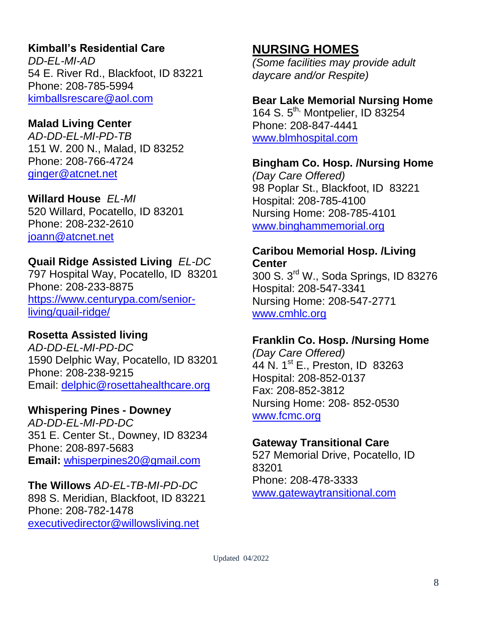# **Kimball's Residential Care**

*DD-EL-MI-AD* 54 E. River Rd., Blackfoot, ID 83221 Phone: 208-785-5994 [kimballsrescare@aol.com](mailto:kimballsrescare@aol.com)

#### **Malad Living Center**

*AD-DD-EL-MI-PD-TB* 151 W. 200 N., Malad, ID 83252 Phone: 208-766-4724 [ginger@atcnet.net](mailto:ginger@atcnet.net) 

#### **Willard House** *EL-MI*

520 Willard, Pocatello, ID 83201 Phone: 208-232-2610 [joann@atcnet.net](mailto:joann@atcnet.net)

#### **Quail Ridge Assisted Living** *EL-DC*

797 Hospital Way, Pocatello, ID 83201 Phone: 208-233-8875 [https://www.centurypa.com/senior](https://www.centurypa.com/senior-living/quail-ridge/)[living/quail-ridge/](https://www.centurypa.com/senior-living/quail-ridge/)

#### **Rosetta Assisted living**

*AD-DD-EL-MI-PD-DC* 1590 Delphic Way, Pocatello, ID 83201 Phone: 208-238-9215 Email: [delphic@rosettahealthcare.org](mailto:delphic@rosettahealthcare.org)

#### **Whispering Pines - Downey**

*AD-DD-EL-MI-PD-DC* 351 E. Center St., Downey, ID 83234 Phone: 208-897-5683 **Email:** [whisperpines20@gmail.com](mailto:whisperpines20@gmail.com)

**The Willows** *AD-EL-TB-MI-PD-DC* 898 S. Meridian, Blackfoot, ID 83221 Phone: 208-782-1478 [executivedirector@willowsliving.net](mailto:executivedirector@willowsliving.net)

# **NURSING HOMES**

*(Some facilities may provide adult daycare and/or Respite)*

#### **Bear Lake Memorial Nursing Home**

164 S. 5<sup>th,</sup> Montpelier, ID 83254 Phone: 208-847-4441 [www.blmhospital.com](http://www.blmhospital.com/)

#### **Bingham Co. Hosp. /Nursing Home**

*(Day Care Offered)* 98 Poplar St., Blackfoot, ID 83221 Hospital: 208-785-4100 Nursing Home: 208-785-4101 [www.binghammemorial.org](http://www.binghammemorial.org/)

#### **Caribou Memorial Hosp. /Living Center**

300 S. 3rd W., Soda Springs, ID 83276 Hospital: 208-547-3341 Nursing Home: 208-547-2771 [www.cmhlc.org](http://www.cmhb.org/)

#### **Franklin Co. Hosp. /Nursing Home**

*(Day Care Offered)* 44 N. 1st E., Preston, ID 83263 Hospital: 208-852-0137 Fax: 208-852-3812 Nursing Home: 208- 852-0530 [www.fcmc.org](http://www.fcmc.org/)

#### **Gateway Transitional Care**

527 Memorial Drive, Pocatello, ID 83201 Phone: 208-478-3333 [www.gatewaytransitional.com](http://www.gatewaytransitional.com/)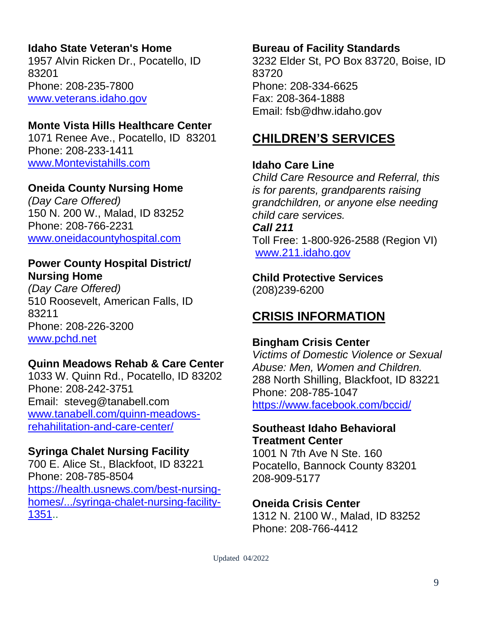# **Idaho State Veteran's Home**

1957 Alvin Ricken Dr., Pocatello, ID 83201 Phone: 208-235-7800 [www.veterans.idaho.gov](http://www.veterans.idaho.gov/)

### **Monte Vista Hills Healthcare Center**

1071 Renee Ave., Pocatello, ID 83201 Phone: 208-233-1411 [www.Montevistahills.com](http://www.montevistahills.com/)

### **Oneida County Nursing Home**

*(Day Care Offered)* 150 N. 200 W., Malad, ID 83252 Phone: 208-766-2231 [www.oneidacountyhospital.com](http://www.oneidacountyhospital.com/)

#### **Power County Hospital District/ Nursing Home**

*(Day Care Offered)* 510 Roosevelt, American Falls, ID 83211 Phone: 208-226-3200 [www.pchd.net](http://www.pchd.net/)

# **Quinn Meadows Rehab & Care Center**

1033 W. Quinn Rd., Pocatello, ID 83202 Phone: 208-242-3751 Email: steveg@tanabell.com [www.tanabell.com/quinn-meadows](http://www.tanabell.com/quinn-meadows-rehahilitation-and-care-center/)[rehahilitation-and-care-center/](http://www.tanabell.com/quinn-meadows-rehahilitation-and-care-center/)

#### **Syringa Chalet Nursing Facility**

700 E. Alice St., Blackfoot, ID 83221 Phone: 208-785-8504 [https://health.usnews.com/best-nursing-](https://health.usnews.com/best-nursing-homes/.../syringa-chalet-nursing-facility-1351)

[homes/.../syringa-chalet-nursing-facility-](https://health.usnews.com/best-nursing-homes/.../syringa-chalet-nursing-facility-1351)[1351.](https://health.usnews.com/best-nursing-homes/.../syringa-chalet-nursing-facility-1351).

#### **Bureau of Facility Standards**

3232 Elder St, PO Box 83720, Boise, ID 83720 Phone: 208-334-6625 Fax: 208-364-1888 Email: fsb@dhw.idaho.gov

# **CHILDREN'S SERVICES**

#### **Idaho Care Line**

*Child Care Resource and Referral, this is for parents, grandparents raising grandchildren, or anyone else needing child care services. Call 211* Toll Free: 1-800-926-2588 (Region VI) [www.211.idaho.gov](http://www.211.idaho.gov/)

**Child Protective Services** (208)239-6200

# **CRISIS INFORMATION**

#### **Bingham Crisis Center**

*Victims of Domestic Violence or Sexual Abuse: Men, Women and Children.*  288 North Shilling, Blackfoot, ID 83221 Phone: 208-785-1047 <https://www.facebook.com/bccid/>

#### **Southeast Idaho Behavioral Treatment Center**

1001 N 7th Ave N Ste. 160 Pocatello, Bannock County 83201 208-909-5177

#### **Oneida Crisis Center**

1312 N. 2100 W., Malad, ID 83252 Phone: 208-766-4412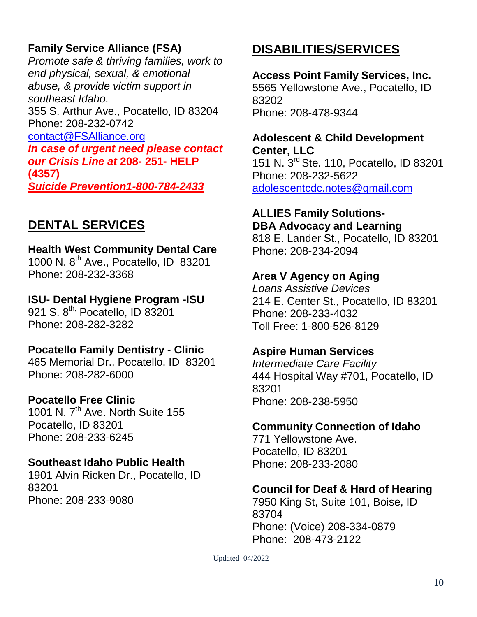# **Family Service Alliance (FSA)**

*Promote safe & thriving families, work to end physical, sexual, & emotional abuse, & provide victim support in southeast Idaho.* 355 S. Arthur Ave., Pocatello, ID 83204 Phone: 208-232-0742 [contact@FSAlliance.org](mailto:contact@FSAlliance.org) *In case of urgent need please contact our Crisis Line at* **208- 251- HELP (4357)** *Suicide Prevention1-800-784-2433*

# **DENTAL SERVICES**

#### **Health West Community Dental Care** 1000 N. 8th Ave., Pocatello, ID 83201

Phone: 208-232-3368

### **ISU- Dental Hygiene Program -ISU**

921 S. 8<sup>th,</sup> Pocatello, ID 83201 Phone: 208-282-3282

#### **Pocatello Family Dentistry - Clinic**

465 Memorial Dr., Pocatello, ID 83201 Phone: 208-282-6000

#### **Pocatello Free Clinic**

1001 N. 7<sup>th</sup> Ave. North Suite 155 Pocatello, ID 83201 Phone: 208-233-6245

#### **Southeast Idaho Public Health**

1901 Alvin Ricken Dr., Pocatello, ID 83201 Phone: 208-233-9080

# **DISABILITIES/SERVICES**

**Access Point Family Services, Inc.** 5565 Yellowstone Ave., Pocatello, ID 83202 Phone: 208-478-9344

#### **Adolescent & Child Development Center, LLC**

151 N. 3 rd Ste. 110, Pocatello, ID 83201 Phone: 208-232-5622 [adolescentcdc.notes@gmail.com](mailto:adolescentcdc.notes@gmail.com)

#### **ALLIES Family Solutions-DBA Advocacy and Learning**

818 E. Lander St., Pocatello, ID 83201 Phone: 208-234-2094

#### **Area V Agency on Aging**

*Loans Assistive Devices* 214 E. Center St., Pocatello, ID 83201 Phone: 208-233-4032 Toll Free: 1-800-526-8129

#### **Aspire Human Services**

*Intermediate Care Facility* 444 Hospital Way #701, Pocatello, ID 83201 Phone: 208-238-5950

#### **Community Connection of Idaho**

771 Yellowstone Ave. Pocatello, ID 83201 Phone: 208-233-2080

#### **Council for Deaf & Hard of Hearing**

7950 King St, Suite 101, Boise, ID 83704 Phone: (Voice) 208-334-0879 Phone: 208-473-2122

Updated 04/2022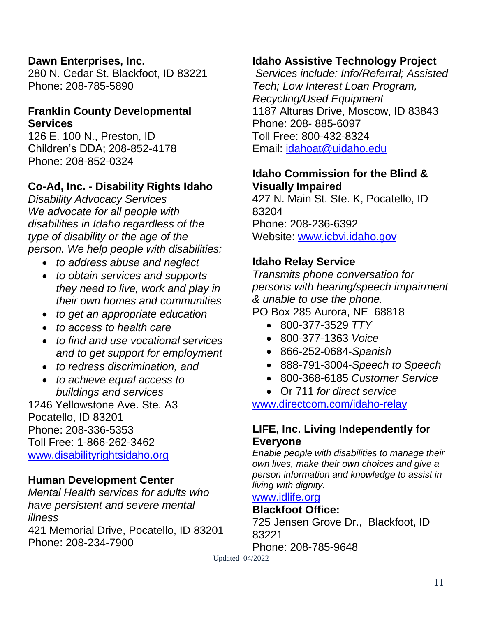#### **Dawn Enterprises, Inc.**

280 N. Cedar St. Blackfoot, ID 83221 Phone: 208-785-5890

#### **Franklin County Developmental Services**

126 E. 100 N., Preston, ID Children's DDA; 208-852-4178 Phone: 208-852-0324

# **Co-Ad, Inc. - Disability Rights Idaho**

*Disability Advocacy Services We advocate for all people with disabilities in Idaho regardless of the type of disability or the age of the person. We help people with disabilities:* 

- *to address abuse and neglect*
- *to obtain services and supports they need to live, work and play in their own homes and communities*
- *to get an appropriate education*
- *to access to health care*
- *to find and use vocational services and to get support for employment*
- *to redress discrimination, and*
- *to achieve equal access to buildings and services*

1246 Yellowstone Ave. Ste. A3 Pocatello, ID 83201 Phone: 208-336-5353 Toll Free: 1-866-262-3462 [www.disabilityrightsidaho.org](http://www.disabilityrightsidaho.org/)

#### **Human Development Center**

*Mental Health services for adults who have persistent and severe mental illness* 421 Memorial Drive, Pocatello, ID 83201 Phone: 208-234-7900

#### **Idaho Assistive Technology Project**

*Services include: Info/Referral; Assisted Tech; Low Interest Loan Program, Recycling/Used Equipment* 1187 Alturas Drive, Moscow, ID 83843 Phone: 208- 885-6097 Toll Free: 800-432-8324 Email: [idahoat@uidaho.edu](mailto:idahoat@uidaho.edu)

#### **Idaho Commission for the Blind & Visually Impaired**

427 N. Main St. Ste. K, Pocatello, ID 83204 Phone: 208-236-6392 Website: [www.icbvi.idaho.gov](http://www.icbvi.idaho.gov/)

#### **Idaho Relay Service**

*Transmits phone conversation for persons with hearing/speech impairment & unable to use the phone.*  PO Box 285 Aurora, NE 68818

- 800-377-3529 *TTY*
- 800-377-1363 *Voice*
- 866-252-0684-*Spanish*
- 888-791-3004-*Speech to Speech*
- 800-368-6185 *Customer Service*
- Or 711 *for direct service*

[www.directcom.com/idaho-relay](http://www.directcom.com/idaho-relay)

#### **LIFE, Inc. Living Independently for Everyone**

*Enable people with disabilities to manage their own lives, make their own choices and give a person information and knowledge to assist in living with dignity.* 

#### [www.idlife.org](http://www.idlife.org/)

#### **Blackfoot Office:**

725 Jensen Grove Dr., Blackfoot, ID 83221 Phone: 208-785-9648

Updated 04/2022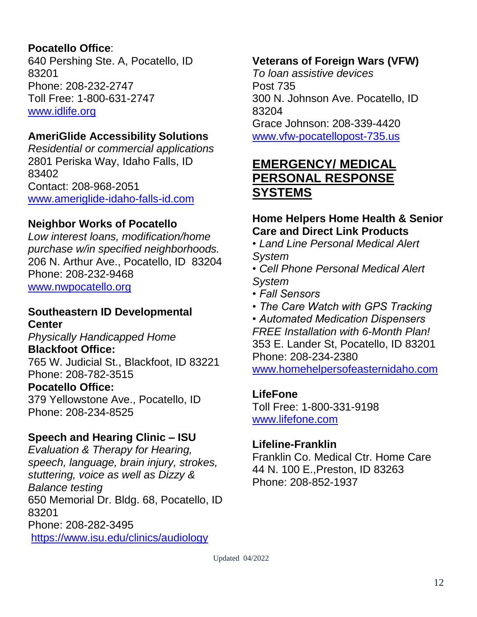# **Pocatello Office**:

640 Pershing Ste. A, Pocatello, ID 83201 Phone: 208-232-2747 Toll Free: 1-800-631-2747 [www.idlife.org](http://www.idlife.org/)

### **AmeriGlide Accessibility Solutions**

*Residential or commercial applications* 2801 Periska Way, Idaho Falls, ID 83402 Contact: 208-968-2051 [www.ameriglide-idaho-falls-id.com](http://www.ameriglide-idaho-falls-id.com/)

### **Neighbor Works of Pocatello**

*Low interest loans, modification/home purchase w/in specified neighborhoods.* 206 N. Arthur Ave., Pocatello, ID 83204 Phone: 208-232-9468 [www.nwpocatello.org](http://www.nwpocatello.org/)

#### **Southeastern ID Developmental Center**

*Physically Handicapped Home* **Blackfoot Office:**

765 W. Judicial St., Blackfoot, ID 83221 Phone: 208-782-3515

#### **Pocatello Office:**

379 Yellowstone Ave., Pocatello, ID Phone: 208-234-8525

#### **Speech and Hearing Clinic – ISU**

*Evaluation & Therapy for Hearing, speech, language, brain injury, strokes, stuttering, voice as well as Dizzy & Balance testing* 650 Memorial Dr. Bldg. 68, Pocatello, ID 83201 Phone: 208-282-3495 <https://www.isu.edu/clinics/audiology>

#### **Veterans of Foreign Wars (VFW)**

*To loan assistive devices* Post 735 300 N. Johnson Ave. Pocatello, ID 83204 Grace Johnson: 208-339-4420 [www.vfw-pocatellopost-735.us](http://www.vfw-pocatellopost-735.us/)

# **EMERGENCY/ MEDICAL PERSONAL RESPONSE SYSTEMS**

#### **Home Helpers Home Health & Senior Care and Direct Link Products**

- *Land Line Personal Medical Alert System*
- *Cell Phone Personal Medical Alert System*
- *Fall Sensors*
- *The Care Watch with GPS Tracking*

*• Automated Medication Dispensers FREE Installation with 6-Month Plan!* 353 E. Lander St, Pocatello, ID 83201 Phone: 208-234-2380 [www.homehelpersofeasternidaho.com](http://www.homehelpersofeasternidaho.com/)

#### **LifeFone**

Toll Free: 1-800-331-9198 www.lifefone.com

#### **Lifeline-Franklin**

Franklin Co. Medical Ctr. Home Care 44 N. 100 E.,Preston, ID 83263 Phone: 208-852-1937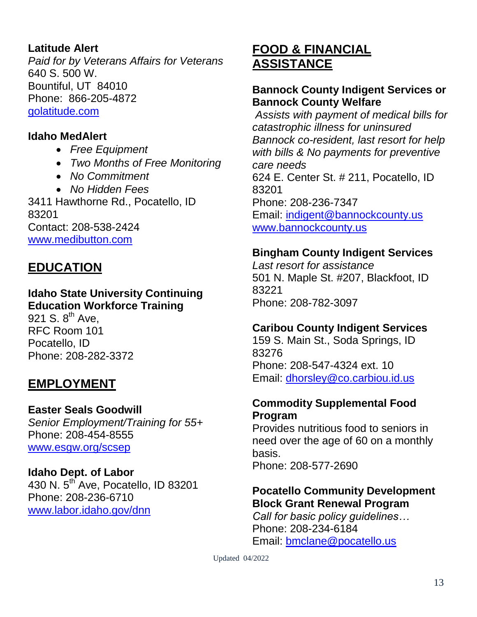### **Latitude Alert**

*Paid for by Veterans Affairs for Veterans* 640 S. 500 W. Bountiful, UT 84010 Phone: 866-205-4872 [golatitude.com](http://www.livelifealarms.com/)

#### **Idaho MedAlert**

- *Free Equipment*
- *Two Months of Free Monitoring*
- *No Commitment*
- *No Hidden Fees*

3411 Hawthorne Rd., Pocatello, ID 83201 Contact: 208-538-2424 [www.medibutton.com](http://www.medibutton.com/)

# **EDUCATION**

# **Idaho State University Continuing Education Workforce Training**

921 S.  $8^{\text{th}}$  Ave, RFC Room 101 Pocatello, ID Phone: 208-282-3372

# **EMPLOYMENT**

# **Easter Seals Goodwill** *Senior Employment/Training for 55+*

Phone: 208-454-8555 [www.esgw.org/scsep](http://www.esgw.org/scsep)

# **Idaho Dept. of Labor**

430 N. 5th Ave, Pocatello, ID 83201 Phone: 208-236-6710 [www.labor.idaho.gov/dnn](http://www.labor.idaho.gov/dnn)

# **FOOD & FINANCIAL ASSISTANCE**

#### **Bannock County Indigent Services or Bannock County Welfare**

*Assists with payment of medical bills for catastrophic illness for uninsured Bannock co-resident, last resort for help with bills & No payments for preventive care needs* 624 E. Center St. # 211, Pocatello, ID 83201 Phone: 208-236-7347 Email: [indigent@bannockcounty.us](mailto:indigent@bannockcounty.us) [www.bannockcounty.us](http://www.bannockcounty.us/)

#### **Bingham County Indigent Services**

*Last resort for assistance* 501 N. Maple St. #207, Blackfoot, ID 83221 Phone: 208-782-3097

#### **Caribou County Indigent Services**

159 S. Main St., Soda Springs, ID 83276 Phone: 208-547-4324 ext. 10 Email: [dhorsley@co.carbiou.id.us](mailto:dhorsley@co.carbiou.id.us)

#### **Commodity Supplemental Food Program**

Provides nutritious food to seniors in need over the age of 60 on a monthly basis. Phone: 208-577-2690

#### **Pocatello Community Development Block Grant Renewal Program**

*Call for basic policy guidelines…* Phone: 208-234-6184 Email: [bmclane@pocatello.us](mailto:bmclane@pocatello.us)

Updated 04/2022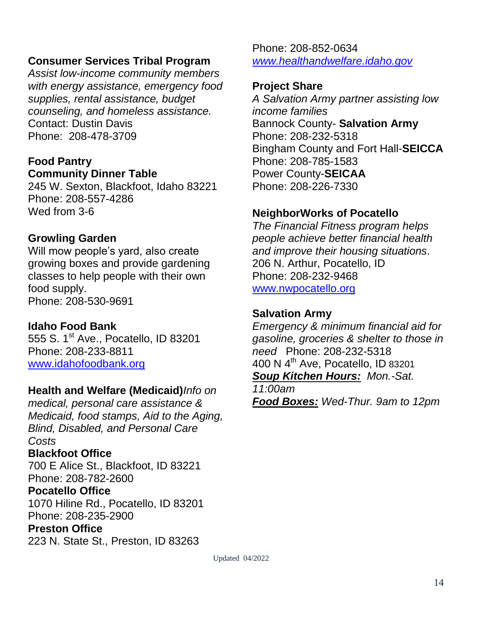#### **Consumer Services Tribal Program**

*Assist low-income community members with energy assistance, emergency food supplies, rental assistance, budget counseling, and homeless assistance.* Contact: Dustin Davis Phone: 208-478-3709

#### **Food Pantry Community Dinner Table**

245 W. Sexton, Blackfoot, Idaho 83221 Phone: 208-557-4286 Wed from 3-6

#### **Growling Garden**

Will mow people's yard, also create growing boxes and provide gardening classes to help people with their own food supply. Phone: 208-530-9691

#### **Idaho Food Bank**

555 S. 1<sup>st</sup> Ave., Pocatello, ID 83201 Phone: 208-233-8811 [www.idahofoodbank.org](http://www.idahofoodbank.org/)

#### **Health and Welfare (Medicaid)***Info on*

*medical, personal care assistance & Medicaid, food stamps, Aid to the Aging, Blind, Disabled, and Personal Care Costs* **Blackfoot Office** 700 E Alice St., Blackfoot, ID 83221 Phone: 208-782-2600 **Pocatello Office** 1070 Hiline Rd., Pocatello, ID 83201 Phone: 208-235-2900 **Preston Office** 223 N. State St., Preston, ID 83263

Phone: 208-852-0634 *[www.healthandwelfare.idaho.gov](http://www.healthandwelfare.idaho.gov/)*

#### **Project Share**

*A Salvation Army partner assisting low income families* Bannock County- **Salvation Army** Phone: 208-232-5318 Bingham County and Fort Hall-**SEICCA** Phone: 208-785-1583 Power County-**SEICAA** Phone: 208-226-7330

#### **NeighborWorks of Pocatello**

*The Financial Fitness program helps people achieve better financial health and improve their housing situations*. 206 N. Arthur, Pocatello, ID Phone: 208-232-9468 [www.nwpocatello.org](http://www.nwpocatello.org/)

#### **Salvation Army**

*Emergency & minimum financial aid for gasoline, groceries & shelter to those in need* Phone: 208-232-5318 400 N 4<sup>th</sup> Ave, Pocatello, ID 83201 *Soup Kitchen Hours: Mon.-Sat.* 

*11:00am Food Boxes: Wed-Thur. 9am to 12pm* 

Updated 04/2022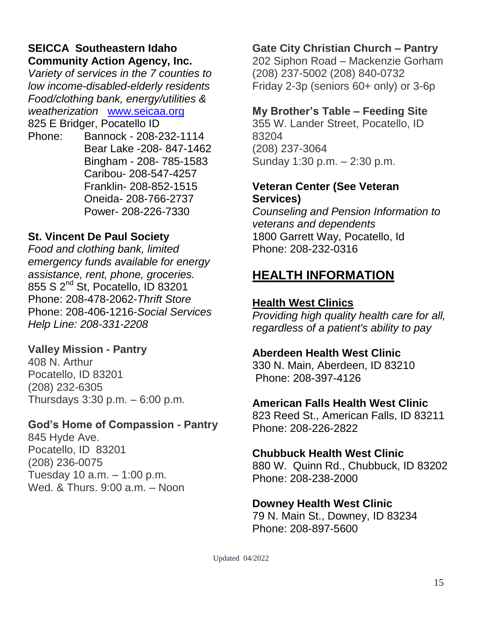#### **SEICCA Southeastern Idaho Community Action Agency, Inc.**

*Variety of services in the 7 counties to low income-disabled-elderly residents Food/clothing bank, energy/utilities & weatherization* [www.seicaa.org](file:///C:/Users/sandy.SICOG/AppData/Roaming/Microsoft/Word/www.seicaa.org) 825 E Bridger, Pocatello ID

Phone: Bannock - 208-232-1114 Bear Lake -208- 847-1462 Bingham - 208- 785-1583 Caribou- 208-547-4257 Franklin- 208-852-1515 Oneida- 208-766-2737 Power- 208-226-7330

# **St. Vincent De Paul Society**

*Food and clothing bank, limited emergency funds available for energy assistance, rent, phone, groceries.* 855 S 2nd St, Pocatello, ID 83201 Phone: 208-478-2062-*Thrift Store* Phone: 208-406-1216-*Social Services Help Line: 208-331-2208*

# **Valley Mission - Pantry**

408 N. Arthur Pocatello, ID 83201 (208) 232-6305 Thursdays 3:30 p.m. – 6:00 p.m.

#### **God's Home of Compassion - Pantry**

845 Hyde Ave. Pocatello, ID 83201 (208) 236-0075 Tuesday 10 a.m. – 1:00 p.m. Wed. & Thurs. 9:00 a.m. – Noon

# **Gate City Christian Church – Pantry**

202 Siphon Road – Mackenzie Gorham (208) 237-5002 (208) 840-0732 Friday 2-3p (seniors 60+ only) or 3-6p

# **My Brother's Table – Feeding Site**

355 W. Lander Street, Pocatello, ID 83204 (208) 237-3064 Sunday 1:30 p.m. – 2:30 p.m.

### **Veteran Center (See Veteran Services)**

*Counseling and Pension Information to veterans and dependents* 1800 Garrett Way, Pocatello, Id Phone: 208-232-0316

# **HEALTH INFORMATION**

# **Health West Clinics**

*Providing high quality health care for all, regardless of a patient's ability to pay*

# **Aberdeen Health West Clinic**

330 N. Main, Aberdeen, ID 83210 Phone: 208-397-4126

# **American Falls Health West Clinic**

823 Reed St., American Falls, ID 83211 Phone: 208-226-2822

# **Chubbuck Health West Clinic**

880 W. Quinn Rd., Chubbuck, ID 83202 Phone: 208-238-2000

# **Downey Health West Clinic**

79 N. Main St., Downey, ID 83234 Phone: 208-897-5600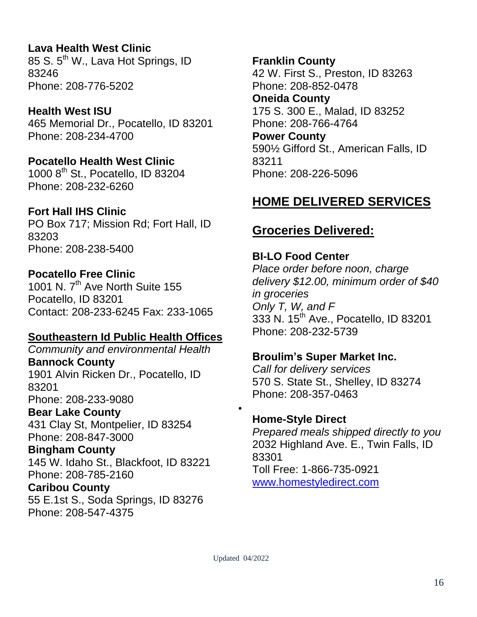**Lava Health West Clinic** 85 S. 5<sup>th</sup> W., Lava Hot Springs, ID 83246 Phone: 208-776-5202

**Health West ISU** 465 Memorial Dr., Pocatello, ID 83201 Phone: 208-234-4700

**Pocatello Health West Clinic** 1000 8th St., Pocatello, ID 83204 Phone: 208-232-6260

# **Fort Hall IHS Clinic**

PO Box 717; Mission Rd; Fort Hall, ID 83203 Phone: 208-238-5400

# **Pocatello Free Clinic**

1001 N.  $7<sup>th</sup>$  Ave North Suite 155 Pocatello, ID 83201 Contact: 208-233-6245 Fax: 233-1065

# **Southeastern Id Public Health Offices**

*Community and environmental Health* **Bannock County**  1901 Alvin Ricken Dr., Pocatello, ID 83201 Phone: 208-233-9080

**Bear Lake County** 

431 Clay St, Montpelier, ID 83254 Phone: 208-847-3000

**Bingham County** 

145 W. Idaho St., Blackfoot, ID 83221 Phone: 208-785-2160

**Caribou County** 

55 E.1st S., Soda Springs, ID 83276 Phone: 208-547-4375

**Franklin County**  42 W. First S., Preston, ID 83263 Phone: 208-852-0478 **Oneida County**

175 S. 300 E., Malad, ID 83252 Phone: 208-766-4764

**Power County**  590½ Gifford St., American Falls, ID 83211 Phone: 208-226-5096

# **HOME DELIVERED SERVICES**

# **Groceries Delivered:**

# **BI-LO Food Center**

*Place order before noon, charge delivery \$12.00, minimum order of \$40 in groceries Only T, W, and F* 333 N. 15<sup>th</sup> Ave., Pocatello, ID 83201 Phone: 208-232-5739

# **Broulim's Super Market Inc.**

*Call for delivery services* 570 S. State St., Shelley, ID 83274 Phone: 208-357-0463

# **Home-Style Direct**

*Prepared meals shipped directly to you* 2032 Highland Ave. E., Twin Falls, ID 83301 Toll Free: 1-866-735-0921 [www.homestyledirect.com](http://www.homestyledirect.com/)

 $\bullet$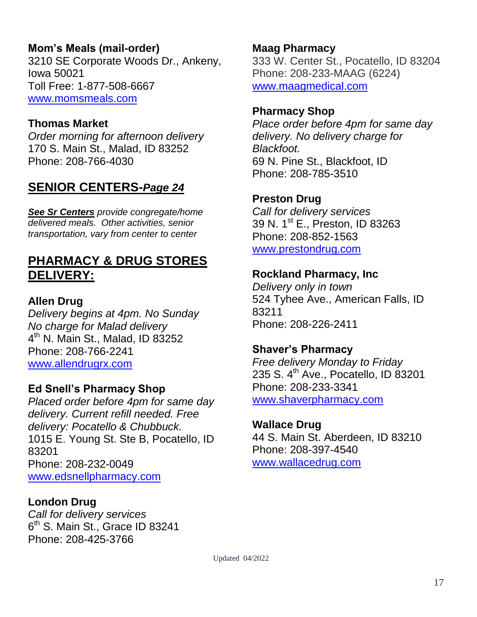# **Mom's Meals (mail-order)**

3210 SE Corporate Woods Dr., Ankeny, Iowa 50021 Toll Free: 1-877-508-6667 [www.momsmeals.com](http://www.momsmeals.com/)

#### **Thomas Market**

*Order morning for afternoon delivery* 170 S. Main St., Malad, ID 83252 Phone: 208-766-4030

# **SENIOR CENTERS-***Page 24*

*See Sr Centers provide congregate/home delivered meals. Other activities, senior transportation, vary from center to center*

# **PHARMACY & DRUG STORES DELIVERY:**

#### **Allen Drug**

*Delivery begins at 4pm. No Sunday No charge for Malad delivery* 4 th N. Main St., Malad, ID 83252 Phone: 208-766-2241 [www.allendrugrx.com](http://www.allendrugrx.com/)

#### **Ed Snell's Pharmacy Shop**

*Placed order before 4pm for same day delivery. Current refill needed. Free delivery: Pocatello & Chubbuck.* 1015 E. Young St. Ste B, Pocatello, ID 83201 Phone: 208-232-0049 [www.edsnellpharmacy.com](http://www.edsnellpharmacy.com/)

#### **London Drug**

*Call for delivery services* 6 th S. Main St., Grace ID 83241 Phone: 208-425-3766

**Maag Pharmacy** 333 W. Center St., Pocatello, ID 83204 Phone: 208-233-MAAG (6224) [www.maagmedical.com](http://www.maagmedical.com/)

#### **Pharmacy Shop**

*Place order before 4pm for same day delivery. No delivery charge for Blackfoot.* 69 N. Pine St., Blackfoot, ID Phone: 208-785-3510

#### **Preston Drug**

*Call for delivery services* 39 N. 1<sup>st</sup> E., Preston, ID 83263 Phone: 208-852-1563 [www.prestondrug.com](http://www.prestondrug.com/)

#### **Rockland Pharmacy, Inc**

*Delivery only in town* 524 Tyhee Ave., American Falls, ID 83211 Phone: 208-226-2411

#### **Shaver's Pharmacy**

*Free delivery Monday to Friday* 235 S. 4<sup>th</sup> Ave., Pocatello, ID 83201 Phone: 208-233-3341 [www.shaverpharmacy.com](http://www.shaverpharmacy.com/)

#### **Wallace Drug**

44 S. Main St. Aberdeen, ID 83210 Phone: 208-397-4540 [www.wallacedrug.com](http://www.wallacedrug.com/)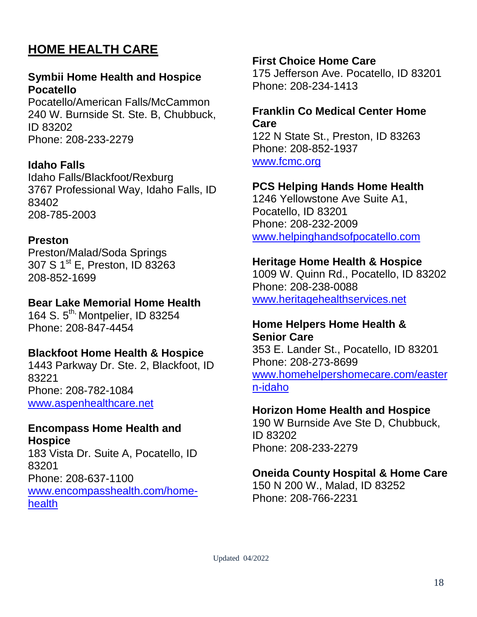# **HOME HEALTH CARE**

#### **Symbii Home Health and Hospice Pocatello**

Pocatello/American Falls/McCammon 240 W. Burnside St. Ste. B, Chubbuck, ID 83202 Phone: 208-233-2279

#### **Idaho Falls**

Idaho Falls/Blackfoot/Rexburg 3767 Professional Way, Idaho Falls, ID 83402 208-785-2003

#### **Preston**

Preston/Malad/Soda Springs 307 S 1<sup>st</sup> E, Preston, ID 83263 208-852-1699

#### **Bear Lake Memorial Home Health**

164 S. 5<sup>th,</sup> Montpelier, ID 83254 Phone: 208-847-4454

#### **Blackfoot Home Health & Hospice**

1443 Parkway Dr. Ste. 2, Blackfoot, ID 83221 Phone: 208-782-1084 [www.aspenhealthcare.net](http://www.aspenhealthcare.net/)

#### **Encompass Home Health and Hospice**

183 Vista Dr. Suite A, Pocatello, ID 83201 Phone: 208-637-1100 [www.encompasshealth.com/home](http://www.encompasshealth.com/home-health)[health](http://www.encompasshealth.com/home-health)

#### **First Choice Home Care**

175 Jefferson Ave. Pocatello, ID 83201 Phone: 208-234-1413

#### **Franklin Co Medical Center Home Care**

122 N State St., Preston, ID 83263 Phone: 208-852-1937 [www.fcmc.org](http://www.fcmc.org/)

#### **PCS Helping Hands Home Health**

1246 Yellowstone Ave Suite A1, Pocatello, ID 83201 Phone: 208-232-2009 [www.helpinghandsofpocatello.com](http://www.helpinghandsofpocatello.com/)

#### **Heritage Home Health & Hospice**

1009 W. Quinn Rd., Pocatello, ID 83202 Phone: 208-238-0088 [www.heritagehealthservices.net](http://www.heritagehealthservices.net/)

#### **Home Helpers Home Health & Senior Care**

353 E. Lander St., Pocatello, ID 83201 Phone: 208-273-8699 [www.homehelpershomecare.com/easter](http://www.homehelpershomecare.com/eastern-idaho) [n-idaho](http://www.homehelpershomecare.com/eastern-idaho)

#### **Horizon Home Health and Hospice**

190 W Burnside Ave Ste D, Chubbuck, ID 83202 Phone: 208-233-2279

#### **Oneida County Hospital & Home Care**

150 N 200 W., Malad, ID 83252 Phone: 208-766-2231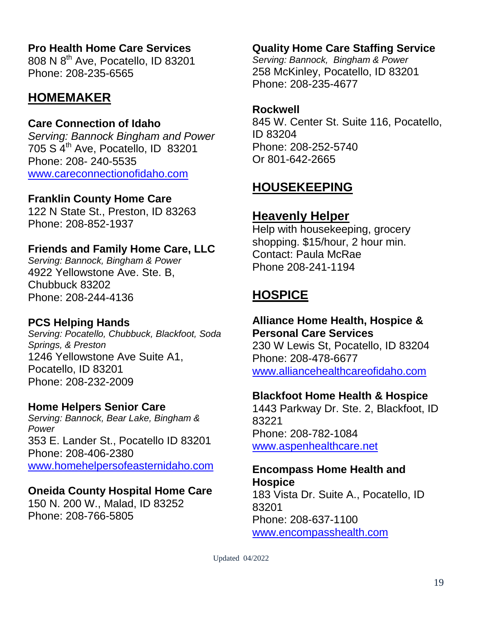# **Pro Health Home Care Services**

808 N 8th Ave, Pocatello, ID 83201 Phone: 208-235-6565

# **HOMEMAKER**

#### **Care Connection of Idaho**

*Serving: Bannock Bingham and Power* 705 S 4th Ave, Pocatello, ID 83201 Phone: 208- 240-5535 [www.careconnectionofidaho.com](http://www.careconnectionofidaho.com/)

#### **Franklin County Home Care**

122 N State St., Preston, ID 83263 Phone: 208-852-1937

### **Friends and Family Home Care, LLC**

*Serving: Bannock, Bingham & Power* 4922 Yellowstone Ave. Ste. B, Chubbuck 83202 Phone: 208-244-4136

#### **PCS Helping Hands**

*Serving: Pocatello, Chubbuck, Blackfoot, Soda Springs, & Preston* 1246 Yellowstone Ave Suite A1, Pocatello, ID 83201 Phone: 208-232-2009

#### **Home Helpers Senior Care**

*Serving: Bannock, Bear Lake, Bingham & Power* 353 E. Lander St., Pocatello ID 83201 Phone: 208-406-2380 [www.homehelpersofeasternidaho.com](http://www.homehelpersofeasternidaho.com/)

# **Oneida County Hospital Home Care**

150 N. 200 W., Malad, ID 83252 Phone: 208-766-5805

### **Quality Home Care Staffing Service**

*Serving: Bannock, Bingham & Power* 258 McKinley, Pocatello, ID 83201 Phone: 208-235-4677

#### **Rockwell**

845 W. Center St. Suite 116, Pocatello, ID 83204 Phone: 208-252-5740 Or 801-642-2665

# **HOUSEKEEPING**

# **Heavenly Helper**

Help with housekeeping, grocery shopping. \$15/hour, 2 hour min. Contact: Paula McRae Phone 208-241-1194

# **HOSPICE**

# **Alliance Home Health, Hospice &**

**Personal Care Services** 230 W Lewis St, Pocatello, ID 83204 Phone: 208-478-6677 [www.alliancehealthcareofidaho.com](http://www.alliancehealthcareofidaho.com/)

#### **Blackfoot Home Health & Hospice**

1443 Parkway Dr. Ste. 2, Blackfoot, ID 83221 Phone: 208-782-1084 [www.aspenhealthcare.net](http://www.aspenhealthcare.net/)

#### **Encompass Home Health and Hospice**

183 Vista Dr. Suite A., Pocatello, ID 83201 Phone: 208-637-1100 [www.encompasshealth.com](http://www.encompasshealth.com/)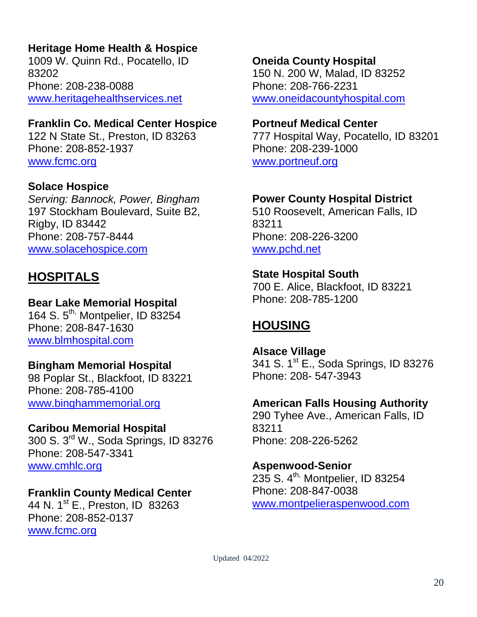# **Heritage Home Health & Hospice**

1009 W. Quinn Rd., Pocatello, ID 83202 Phone: 208-238-0088 [www.heritagehealthservices.net](http://www.heritagehealthservices.net/)

#### **Franklin Co. Medical Center Hospice**

122 N State St., Preston, ID 83263 Phone: 208-852-1937 [www.fcmc.org](http://www.fcmc.org/)

#### **Solace Hospice**

*Serving: Bannock, Power, Bingham* 197 Stockham Boulevard, Suite B2, Rigby, ID 83442 Phone: 208-757-8444 [www.solacehospice.com](file:///C:/Users/nydia/AppData/Local/Microsoft/Windows/INetCache/Content.Outlook/4TPGK44D/www.solacehospice.com)

# **HOSPITALS**

#### **Bear Lake Memorial Hospital**

164 S. 5<sup>th,</sup> Montpelier, ID 83254 Phone: 208-847-1630 [www.blmhospital.com](http://www.blmhospital.com/)

#### **Bingham Memorial Hospital**

98 Poplar St., Blackfoot, ID 83221 Phone: 208-785-4100 [www.binghammemorial.org](http://www.binghammemorial.org/)

#### **Caribou Memorial Hospital**

300 S. 3<sup>rd</sup> W., Soda Springs, ID 83276 Phone: 208-547-3341 [www.cmhlc.org](http://www.cmhlc.org/)

# **Franklin County Medical Center**

44 N. 1<sup>st</sup> E., Preston, ID 83263 Phone: 208-852-0137 [www.fcmc.org](http://www.fcmc.org/)

#### **Oneida County Hospital**

150 N. 200 W, Malad, ID 83252 Phone: 208-766-2231 [www.oneidacountyhospital.com](http://www.oneidacountyhospital.com/)

#### **Portneuf Medical Center**

777 Hospital Way, Pocatello, ID 83201 Phone: 208-239-1000 [www.portneuf.org](http://www.portneuf.org/)

#### **Power County Hospital District**

510 Roosevelt, American Falls, ID 83211 Phone: 208-226-3200 [www.pchd.net](http://www.pchd.net/)

#### **State Hospital South**

700 E. Alice, Blackfoot, ID 83221 Phone: 208-785-1200

# **HOUSING**

**Alsace Village** 341 S. 1<sup>st</sup> E., Soda Springs, ID 83276 Phone: 208- 547-3943

#### **American Falls Housing Authority**

290 Tyhee Ave., American Falls, ID 83211 Phone: 208-226-5262

#### **Aspenwood-Senior**

235 S.  $4^{\text{th}}$ , Montpelier, ID 83254 Phone: 208-847-0038 [www.montpelieraspenwood.com](http://www.montpelieraspenwood.com/)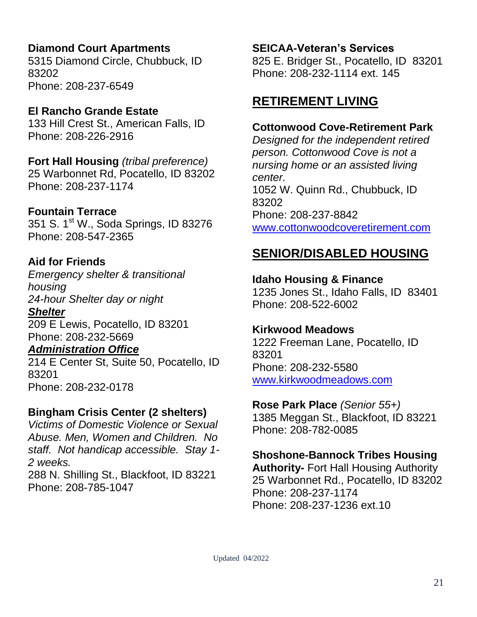# **Diamond Court Apartments**

5315 Diamond Circle, Chubbuck, ID 83202 Phone: 208-237-6549

# **El Rancho Grande Estate**

133 Hill Crest St., American Falls, ID Phone: 208-226-2916

**Fort Hall Housing** *(tribal preference)* 25 Warbonnet Rd, Pocatello, ID 83202 Phone: 208-237-1174

# **Fountain Terrace**

351 S. 1<sup>st</sup> W., Soda Springs, ID 83276 Phone: 208-547-2365

# **Aid for Friends**

*Emergency shelter & transitional housing 24-hour Shelter day or night*

*Shelter* 209 E Lewis, Pocatello, ID 83201 Phone: 208-232-5669

# *Administration Office*

214 E Center St, Suite 50, Pocatello, ID 83201 Phone: 208-232-0178

# **Bingham Crisis Center (2 shelters)**

*Victims of Domestic Violence or Sexual Abuse. Men, Women and Children. No staff. Not handicap accessible. Stay 1- 2 weeks.*

288 N. Shilling St., Blackfoot, ID 83221 Phone: 208-785-1047

# **SEICAA-Veteran's Services**

825 E. Bridger St., Pocatello, ID 83201 Phone: 208-232-1114 ext. 145

# **RETIREMENT LIVING**

# **Cottonwood Cove-Retirement Park**

*Designed for the independent retired person. Cottonwood Cove is not a nursing home or an assisted living center.* 1052 W. Quinn Rd., Chubbuck, ID 83202 Phone: 208-237-8842 [www.cottonwoodcoveretirement.com](http://www.cottonwoodcoveretirement.com/)

# **SENIOR/DISABLED HOUSING**

**Idaho Housing & Finance**  1235 Jones St., Idaho Falls, ID 83401 Phone: 208-522-6002

# **Kirkwood Meadows**

1222 Freeman Lane, Pocatello, ID 83201 Phone: 208-232-5580 [www.kirkwoodmeadows.com](http://www.kirkwoodmeadows.com/)

# **Rose Park Place** *(Senior 55+)*

1385 Meggan St., Blackfoot, ID 83221 Phone: 208-782-0085

# **Shoshone-Bannock Tribes Housing**

**Authority-** Fort Hall Housing Authority 25 Warbonnet Rd., Pocatello, ID 83202 Phone: 208-237-1174 Phone: 208-237-1236 ext.10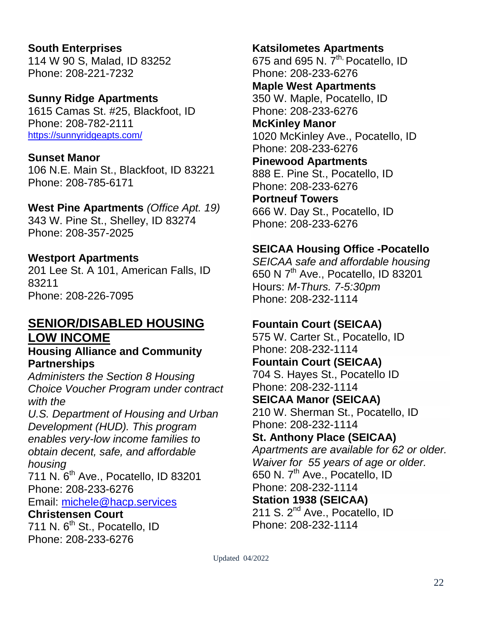#### **South Enterprises** 114 W 90 S, Malad, ID 83252 Phone: 208-221-7232

#### **Sunny Ridge Apartments**

1615 Camas St. #25, Blackfoot, ID Phone: 208-782-2111 <https://sunnyridgeapts.com/>

#### **Sunset Manor**

106 N.E. Main St., Blackfoot, ID 83221 Phone: 208-785-6171

#### **West Pine Apartments** *(Office Apt. 19)*

343 W. Pine St., Shelley, ID 83274 Phone: 208-357-2025

#### **Westport Apartments**

201 Lee St. A 101, American Falls, ID 83211 Phone: 208-226-7095

### **SENIOR/DISABLED HOUSING LOW INCOME**

#### **Housing Alliance and Community Partnerships**

*Administers the Section 8 Housing Choice Voucher Program under contract with the* 

*U.S. Department of Housing and Urban Development (HUD). This program enables very-low income families to obtain decent, safe, and affordable housing* 

711 N. 6th Ave., Pocatello, ID 83201 Phone: 208-233-6276 Email: [michele@hacp.services](mailto:michele@hacp.services)

**Christensen Court** 711 N.  $6<sup>th</sup>$  St., Pocatello, ID Phone: 208-233-6276

# **Katsilometes Apartments**

675 and 695 N.  $7<sup>th</sup>$  Pocatello, ID Phone: 208-233-6276 **Maple West Apartments** 350 W. Maple, Pocatello, ID

Phone: 208-233-6276

#### **McKinley Manor** 1020 McKinley Ave., Pocatello, ID

Phone: 208-233-6276

**Pinewood Apartments**

888 E. Pine St., Pocatello, ID Phone: 208-233-6276

**Portneuf Towers** 666 W. Day St., Pocatello, ID Phone: 208-233-6276

# **SEICAA Housing Office -Pocatello**

*SEICAA safe and affordable housing*  650 N 7<sup>th</sup> Ave., Pocatello, ID 83201 Hours: *M-Thurs. 7-5:30pm* Phone: 208-232-1114

# **Fountain Court (SEICAA)**

575 W. Carter St., Pocatello, ID Phone: 208-232-1114 **Fountain Court (SEICAA)** 704 S. Hayes St., Pocatello ID Phone: 208-232-1114 **SEICAA Manor (SEICAA)**

210 W. Sherman St., Pocatello, ID Phone: 208-232-1114

#### **St. Anthony Place (SEICAA)** *Apartments are available for 62 or older.*

*Waiver for 55 years of age or older.* 650 N. 7<sup>th</sup> Ave., Pocatello, ID Phone: 208-232-1114 **Station 1938 (SEICAA)** 211 S. 2<sup>nd</sup> Ave., Pocatello, ID

Phone: 208-232-1114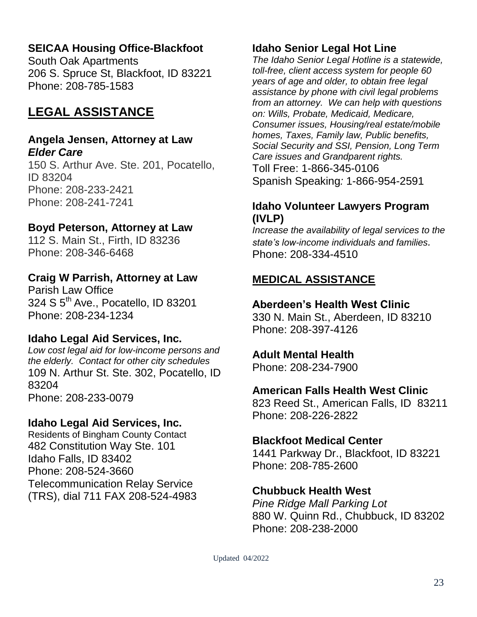# **SEICAA Housing Office-Blackfoot**

South Oak Apartments 206 S. Spruce St, Blackfoot, ID 83221 Phone: 208-785-1583

# **LEGAL ASSISTANCE**

#### **Angela Jensen, Attorney at Law** *Elder Care*

150 S. Arthur Ave. Ste. 201, Pocatello, ID 83204 Phone: 208-233-2421 Phone: 208-241-7241

#### **Boyd Peterson, Attorney at Law**

112 S. Main St., Firth, ID 83236 Phone: 208-346-6468

#### **Craig W Parrish, Attorney at Law**

Parish Law Office 324 S 5<sup>th</sup> Ave., Pocatello, ID 83201 Phone: 208-234-1234

#### **Idaho Legal Aid Services, Inc.**

*Low cost legal aid for low-income persons and the elderly. Contact for other city schedules* 109 N. Arthur St. Ste. 302, Pocatello, ID 83204 Phone: 208-233-0079

#### **Idaho Legal Aid Services, Inc.**

Residents of Bingham County Contact 482 Constitution Way Ste. 101 Idaho Falls, ID 83402 Phone: 208-524-3660 Telecommunication Relay Service (TRS), dial 711 FAX 208-524-4983

#### **Idaho Senior Legal Hot Line**

*The Idaho Senior Legal Hotline is a statewide, toll-free, client access system for people 60 years of age and older, to obtain free legal assistance by phone with civil legal problems from an attorney. We can help with questions on: Wills, Probate, Medicaid, Medicare, Consumer issues, Housing/real estate/mobile homes, Taxes, Family law, Public benefits, Social Security and SSI, Pension, Long Term Care issues and Grandparent rights.* Toll Free: 1-866-345-0106 Spanish Speaking*:* 1-866-954-2591

#### **Idaho Volunteer Lawyers Program (IVLP)**

*Increase the availability of legal services to the state's low-income individuals and families.* Phone: 208-334-4510

#### **MEDICAL ASSISTANCE**

#### **Aberdeen's Health West Clinic**

330 N. Main St., Aberdeen, ID 83210 Phone: 208-397-4126

#### **Adult Mental Health**

Phone: 208-234-7900

#### **American Falls Health West Clinic**

823 Reed St., American Falls, ID 83211 Phone: 208-226-2822

#### **Blackfoot Medical Center**

1441 Parkway Dr., Blackfoot, ID 83221 Phone: 208-785-2600

#### **Chubbuck Health West**

*Pine Ridge Mall Parking Lot* 880 W. Quinn Rd., Chubbuck, ID 83202 Phone: 208-238-2000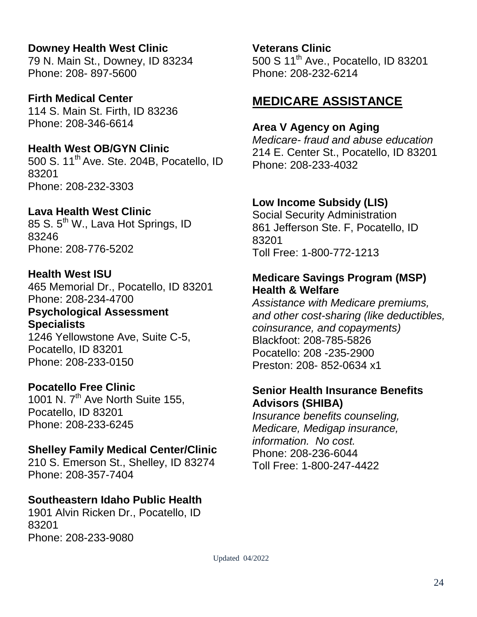# **Downey Health West Clinic**

79 N. Main St., Downey, ID 83234 Phone: 208- 897-5600

**Firth Medical Center** 114 S. Main St. Firth, ID 83236 Phone: 208-346-6614

**Health West OB/GYN Clinic** 500 S. 11<sup>th</sup> Ave. Ste. 204B, Pocatello, ID 83201 Phone: 208-232-3303

# **Lava Health West Clinic**

85 S. 5<sup>th</sup> W., Lava Hot Springs, ID 83246 Phone: 208-776-5202

**Health West ISU**

465 Memorial Dr., Pocatello, ID 83201 Phone: 208-234-4700 **Psychological Assessment** 

**Specialists** 1246 Yellowstone Ave, Suite C-5, Pocatello, ID 83201

Phone: 208-233-0150

# **Pocatello Free Clinic**

1001 N.  $7<sup>th</sup>$  Ave North Suite 155, Pocatello, ID 83201 Phone: 208-233-6245

# **Shelley Family Medical Center/Clinic**

210 S. Emerson St., Shelley, ID 83274 Phone: 208-357-7404

# **Southeastern Idaho Public Health**

1901 Alvin Ricken Dr., Pocatello, ID 83201 Phone: 208-233-9080

**Veterans Clinic** 500 S 11th Ave., Pocatello, ID 83201 Phone: 208-232-6214

# **MEDICARE ASSISTANCE**

# **Area V Agency on Aging**

*Medicare- fraud and abuse education*  214 E. Center St., Pocatello, ID 83201 Phone: 208-233-4032

# **Low Income Subsidy (LIS)**

Social Security Administration 861 Jefferson Ste. F, Pocatello, ID 83201 Toll Free: 1-800-772-1213

# **Medicare Savings Program (MSP) Health & Welfare**

*Assistance with Medicare premiums, and other cost-sharing (like deductibles, coinsurance, and copayments)*  Blackfoot: 208-785-5826 Pocatello: 208 -235-2900 Preston: 208- 852-0634 x1

### **Senior Health Insurance Benefits Advisors (SHIBA)**

*Insurance benefits counseling, Medicare, Medigap insurance, information. No cost.*  Phone: 208-236-6044 Toll Free: 1-800-247-4422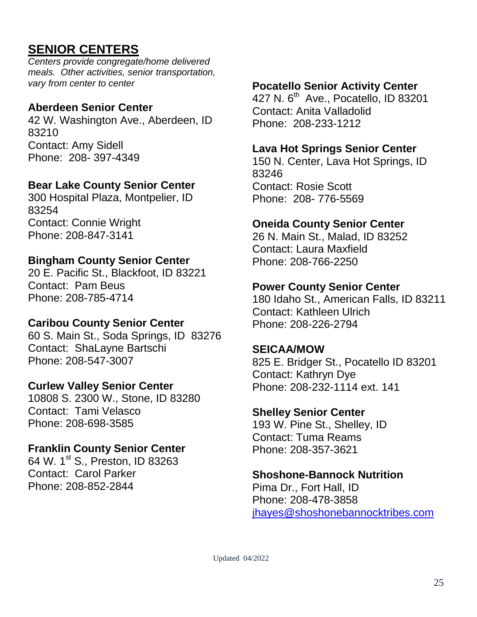# **SENIOR CENTERS**

*Centers provide congregate/home delivered meals. Other activities, senior transportation, vary from center to center*

#### **Aberdeen Senior Center**

42 W. Washington Ave., Aberdeen, ID 83210 Contact: Amy Sidell Phone: 208- 397-4349

# **Bear Lake County Senior Center**

300 Hospital Plaza, Montpelier, ID 83254 Contact: Connie Wright Phone: 208-847-3141

# **Bingham County Senior Center**

20 E. Pacific St., Blackfoot, ID 83221 Contact: Pam Beus Phone: 208-785-4714

#### **Caribou County Senior Center**

60 S. Main St., Soda Springs, ID 83276 Contact: ShaLayne Bartschi Phone: 208-547-3007

#### **Curlew Valley Senior Center**

10808 S. 2300 W., Stone, ID 83280 Contact: Tami Velasco Phone: 208-698-3585

#### **Franklin County Senior Center**

64 W. 1st S., Preston, ID 83263 Contact: Carol Parker Phone: 208-852-2844

### **Pocatello Senior Activity Center**

427 N. 6<sup>th</sup> Ave., Pocatello, ID 83201 Contact: Anita Valladolid Phone: 208-233-1212

#### **Lava Hot Springs Senior Center**

150 N. Center, Lava Hot Springs, ID 83246 Contact: Rosie Scott Phone: 208- 776-5569

#### **Oneida County Senior Center**

26 N. Main St., Malad, ID 83252 Contact: Laura Maxfield Phone: 208-766-2250

#### **Power County Senior Center**

180 Idaho St., American Falls, ID 83211 Contact: Kathleen Ulrich Phone: 208-226-2794

#### **SEICAA/MOW**

825 E. Bridger St., Pocatello ID 83201 Contact: Kathryn Dye Phone: 208-232-1114 ext. 141

#### **Shelley Senior Center**

193 W. Pine St., Shelley, ID Contact: Tuma Reams Phone: 208-357-3621

#### **Shoshone-Bannock Nutrition**

Pima Dr., Fort Hall, ID Phone: 208-478-3858 [jhayes@shoshonebannocktribes.com](mailto:jhayes@shoshonebannocktribes.com)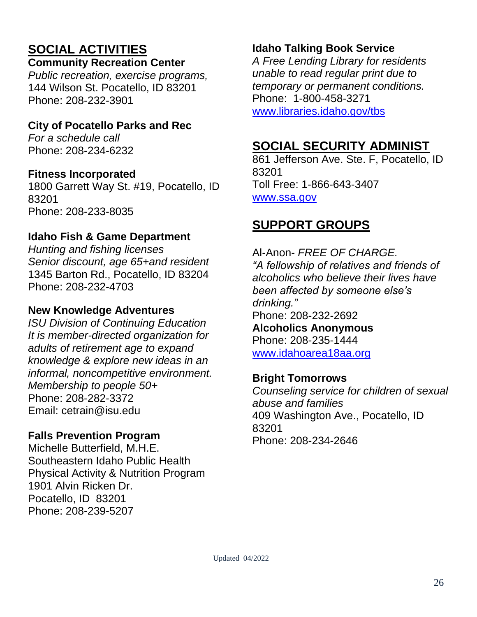# **SOCIAL ACTIVITIES**

### **Community Recreation Center**

*Public recreation, exercise programs,*  144 Wilson St. Pocatello, ID 83201 Phone: 208-232-3901

# **City of Pocatello Parks and Rec**

*For a schedule call* Phone: 208-234-6232

# **Fitness Incorporated**

1800 Garrett Way St. #19, Pocatello, ID 83201 Phone: 208-233-8035

# **Idaho Fish & Game Department**

*Hunting and fishing licenses Senior discount, age 65+and resident* 1345 Barton Rd., Pocatello, ID 83204 Phone: 208-232-4703

# **New Knowledge Adventures**

*ISU Division of Continuing Education It is member-directed organization for adults of retirement age to expand knowledge & explore new ideas in an informal, noncompetitive environment. Membership to people 50+* Phone: 208-282-3372 Email: cetrain@isu.edu

# **Falls Prevention Program**

Michelle Butterfield, M.H.E. Southeastern Idaho Public Health Physical Activity & Nutrition Program 1901 Alvin Ricken Dr. Pocatello, ID 83201 Phone: 208-239-5207

# **Idaho Talking Book Service**

*A Free Lending Library for residents unable to read regular print due to temporary or permanent conditions.* Phone: 1-800-458-3271 [www.libraries.idaho.gov/tbs](http://www.neverstopreading.org/)

# **SOCIAL SECURITY ADMINIST**

861 Jefferson Ave. Ste. F, Pocatello, ID 83201 Toll Free: 1-866-643-3407 [www.ssa.gov](http://www.ssa.gov/)

# **SUPPORT GROUPS**

Al-Anon- *FREE OF CHARGE. "A fellowship of relatives and friends of alcoholics who believe their lives have been affected by someone else's drinking."*  Phone: 208-232-2692 **Alcoholics Anonymous** Phone: 208-235-1444 [www.idahoarea18aa.org](http://www.idahoarea18aa.org/)

# **Bright Tomorrows**

*Counseling service for children of sexual abuse and families*  409 Washington Ave., Pocatello, ID 83201 Phone: 208-234-2646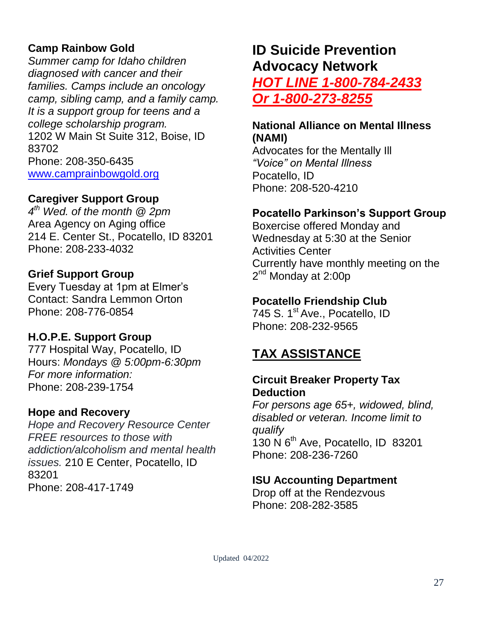# **Camp Rainbow Gold**

*Summer camp for Idaho children diagnosed with cancer and their families. Camps include an oncology camp, sibling camp, and a family camp. It is a support group for teens and a college scholarship program.*  1202 W Main St Suite 312, Boise, ID 83702 Phone: 208-350-6435 [www.camprainbowgold.org](http://www.camprainbowgold.org/)

### **Caregiver Support Group**

*4 th Wed. of the month @ 2pm* Area Agency on Aging office 214 E. Center St., Pocatello, ID 83201 Phone: 208-233-4032

#### **Grief Support Group**

Every Tuesday at 1pm at Elmer's Contact: Sandra Lemmon Orton Phone: 208-776-0854

#### **H.O.P.E. Support Group**

777 Hospital Way, Pocatello, ID Hours: *Mondays @ 5:00pm-6:30pm For more information:* Phone: 208-239-1754

#### **Hope and Recovery**

*Hope and Recovery Resource Center FREE resources to those with addiction/alcoholism and mental health issues.* 210 E Center, Pocatello, ID 83201 Phone: 208-417-1749

# **ID Suicide Prevention Advocacy Network** *HOT LINE 1-800-784-2433 Or 1-800-273-8255*

#### **National Alliance on Mental Illness (NAMI)**

Advocates for the Mentally Ill *"Voice" on Mental Illness* Pocatello, ID Phone: 208-520-4210

### **Pocatello Parkinson's Support Group**

Boxercise offered Monday and Wednesday at 5:30 at the Senior Activities Center Currently have monthly meeting on the 2<sup>nd</sup> Monday at 2:00p

### **Pocatello Friendship Club**

745 S. 1<sup>st</sup> Ave., Pocatello, ID Phone: 208-232-9565

# **TAX ASSISTANCE**

#### **Circuit Breaker Property Tax Deduction**

*For persons age 65+, widowed, blind, disabled or veteran. Income limit to qualify* 130 N 6th Ave, Pocatello, ID 83201 Phone: 208-236-7260

#### **ISU Accounting Department**

Drop off at the Rendezvous Phone: 208-282-3585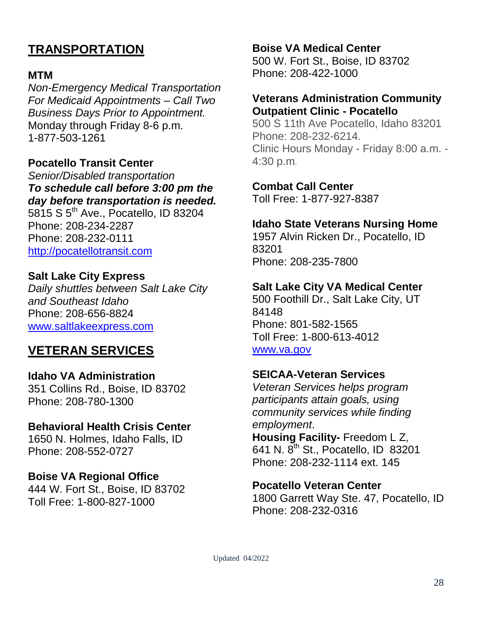# **TRANSPORTATION**

#### **MTM**

*Non-Emergency Medical Transportation For Medicaid Appointments – Call Two Business Days Prior to Appointment.* Monday through Friday 8-6 p.m. 1-877-503-1261

#### **Pocatello Transit Center**

*Senior/Disabled transportation To schedule call before 3:00 pm the day before transportation is needed.* 5815 S 5th Ave., Pocatello, ID 83204 Phone: 208-234-2287 Phone: 208-232-0111

[http://pocatellotransit.com](http://pocatellotransit.com/)

#### **Salt Lake City Express**

*Daily shuttles between Salt Lake City and Southeast Idaho* Phone: 208-656-8824 [www.saltlakeexpress.com](http://www.saltlakeexpress.com/)

# **VETERAN SERVICES**

#### **Idaho VA Administration**

351 Collins Rd., Boise, ID 83702 Phone: 208-780-1300

#### **Behavioral Health Crisis Center**

1650 N. Holmes, Idaho Falls, ID Phone: 208-552-0727

**Boise VA Regional Office** 444 W. Fort St., Boise, ID 83702 Toll Free: 1-800-827-1000

#### **Boise VA Medical Center**

500 W. Fort St., Boise, ID 83702 Phone: 208-422-1000

#### **Veterans Administration Community Outpatient Clinic - Pocatello**

500 S 11th Ave Pocatello, Idaho 83201 Phone: 208-232-6214. Clinic Hours Monday - Friday 8:00 a.m. - 4:30 p.m.

#### **Combat Call Center**

Toll Free: 1-877-927-8387

#### **Idaho State Veterans Nursing Home**

1957 Alvin Ricken Dr., Pocatello, ID 83201 Phone: 208-235-7800

#### **Salt Lake City VA Medical Center**

500 Foothill Dr., Salt Lake City, UT 84148 Phone: 801-582-1565 Toll Free: 1-800-613-4012 [www.va.gov](http://www.va.gov/)

#### **SEICAA-Veteran Services**

*Veteran Services helps program participants attain goals, using community services while finding employment*.

**Housing Facility-** Freedom L Z, 641 N. 8<sup>th</sup> St., Pocatello, ID 83201 Phone: 208-232-1114 ext. 145

#### **Pocatello Veteran Center**

1800 Garrett Way Ste. 47, Pocatello, ID Phone: 208-232-0316